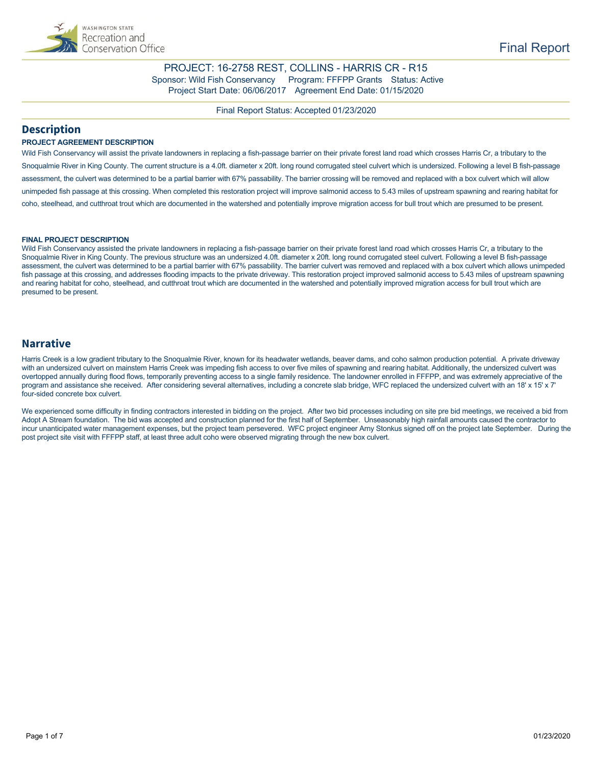

### PROJECT: 16-2758 REST, COLLINS - HARRIS CR - R15 Sponsor: Wild Fish Conservancy Program: FFFPP Grants Status: Active Project Start Date: 06/06/2017 Agreement End Date: 01/15/2020

Final Report Status: Accepted 01/23/2020

### **Description**

### **PROJECT AGREEMENT DESCRIPTION**

Wild Fish Conservancy will assist the private landowners in replacing a fish-passage barrier on their private forest land road which crosses Harris Cr, a tributary to the Snoqualmie River in King County. The current structure is a 4.0ft. diameter x 20ft. long round corrugated steel culvert which is undersized. Following a level B fish-passage assessment, the culvert was determined to be a partial barrier with 67% passability. The barrier crossing will be removed and replaced with a box culvert which will allow unimpeded fish passage at this crossing. When completed this restoration project will improve salmonid access to 5.43 miles of upstream spawning and rearing habitat for coho, steelhead, and cutthroat trout which are documented in the watershed and potentially improve migration access for bull trout which are presumed to be present.

#### **FINAL PROJECT DESCRIPTION**

Wild Fish Conservancy assisted the private landowners in replacing a fish-passage barrier on their private forest land road which crosses Harris Cr, a tributary to the Snoqualmie River in King County. The previous structure was an undersized 4.0ft. diameter x 20ft. long round corrugated steel culvert. Following a level B fish-passage assessment, the culvert was determined to be a partial barrier with 67% passability. The barrier culvert was removed and replaced with a box culvert which allows unimpeded fish passage at this crossing, and addresses flooding impacts to the private driveway. This restoration project improved salmonid access to 5.43 miles of upstream spawning and rearing habitat for coho, steelhead, and cutthroat trout which are documented in the watershed and potentially improved migration access for bull trout which are presumed to be present.

### **Narrative**

Harris Creek is a low gradient tributary to the Snoqualmie River, known for its headwater wetlands, beaver dams, and coho salmon production potential. A private driveway with an undersized culvert on mainstem Harris Creek was impeding fish access to over five miles of spawning and rearing habitat. Additionally, the undersized culvert was overtopped annually during flood flows, temporarily preventing access to a single family residence. The landowner enrolled in FFFPP, and was extremely appreciative of the program and assistance she received. After considering several alternatives, including a concrete slab bridge, WFC replaced the undersized culvert with an 18' x 15' x 7' four-sided concrete box culvert.

We experienced some difficulty in finding contractors interested in bidding on the project. After two bid processes including on site pre bid meetings, we received a bid from Adopt A Stream foundation. The bid was accepted and construction planned for the first half of September. Unseasonably high rainfall amounts caused the contractor to incur unanticipated water management expenses, but the project team persevered. WFC project engineer Arny Stonkus signed off on the project late September. During the post project site visit with FFFPP staff, at least three adult coho were observed migrating through the new box culvert.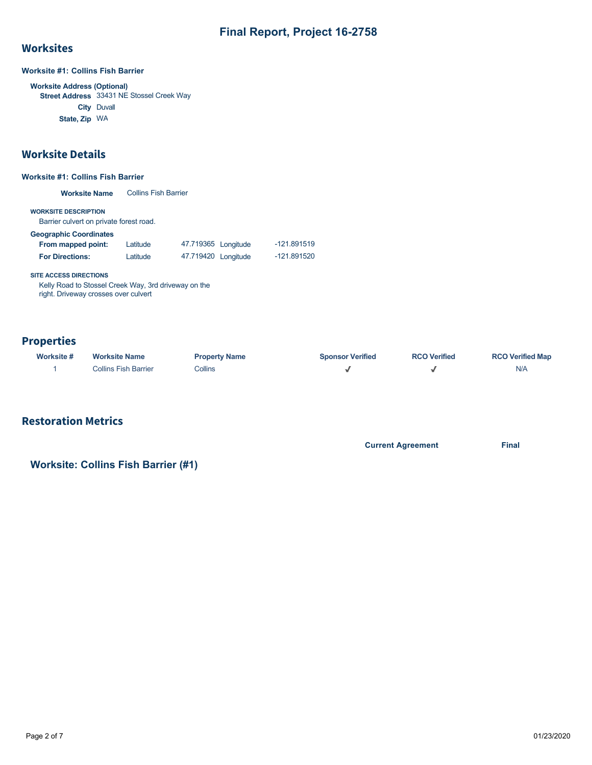### **Worksites**

**Worksite #1: Collins Fish Barrier**

**Worksite Address (Optional) Street Address** 33431 NE Stossel Creek Way **City** Duvall **State, Zip** WA

### Worksite Details

### **Worksite #1: Collins Fish Barrier**

**Worksite Name** Collins Fish Barrier

**WORKSITE DESCRIPTION**

Barrier culvert on private forest road.

### **Geographic Coordinates**

| From mapped point:     | Latitude | 47.719365 Longitude | $-121.891519$ |
|------------------------|----------|---------------------|---------------|
| <b>For Directions:</b> | Latitude | 47.719420 Longitude | -121.891520   |

**SITE ACCESS DIRECTIONS**

Kelly Road to Stossel Creek Way, 3rd driveway on the right. Driveway crosses over culvert

### **Properties**

| Worksite # | <b>Worksite Name</b> | <b>Property Name</b> | <b>Sponsor Verified</b> | <b>RCO Verified</b> | <b>RCO Verified Map</b> |
|------------|----------------------|----------------------|-------------------------|---------------------|-------------------------|
|            | Collins Fish Barrier | Collins              |                         |                     | N/A                     |

# Restoration Metrics

**Current Agreement Final**

# **Worksite: Collins Fish Barrier (#1)**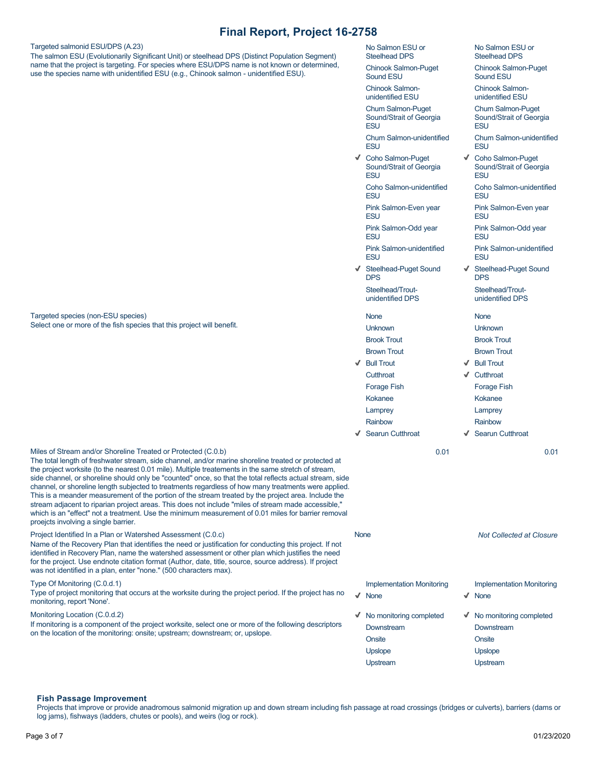Targeted salmonid ESU/DPS (A.23)

Targeted species (non-ESU species)

Select one or more of the fish species that this project will benefit.

The salmon ESU (Evolutionarily Significant Unit) or steelhead DPS (Distinct Population Segment) name that the project is targeting. For species where ESU/DPS name is not known or determined, use the species name with unidentified ESU (e.g., Chinook salmon - unidentified ESU).

No Salmon ESU or Steelhead DPS

Chinook Salmon-Puget Sound ESU

Chinook Salmonunidentified ESU

Chum Salmon-Puget Sound/Strait of Georgia **ESU** 

Chum Salmon-unidentified **FSU** 

Coho Salmon-Puget Sound/Strait of Georgia **FSU** 

> Coho Salmon-unidentified ESU

Pink Salmon-Even year **ESU** 

Pink Salmon-Odd year ESU

Pink Salmon-unidentified **FSU** 

Steelhead-Puget Sound **DPS** Steelhead/Troutunidentified DPS

None

Unknown Brook Trout

Brown Trout Bull Trout

**Cutthroat** Forage Fish

Kokanee Lamprey Rainbow

↓ Searun Cutthroat

Brook Trout Brown Trout

None Unknown

No Salmon ESU or Steelhead DPS Chinook Salmon-Puget

Chum Salmon-unidentified

Coho Salmon-unidentified

Pink Salmon-Even year

Pink Salmon-Odd year

Pink Salmon-unidentified

Steelhead-Puget Sound

Steelhead/Troutunidentified DPS

Coho Salmon-Puget Sound/Strait of Georgia

Sound ESU Chinook Salmonunidentified ESU Chum Salmon-Puget Sound/Strait of Georgia

**ESU** 

**FSU** 

**FSU** 

ESU

ESU

ESU

**FSU** 

 $\checkmark$ 

**DPS** 

Bull Trout

Cutthroat

Forage Fish

Kokanee

Lamprey

Rainbow

↓ Searun Cutthroat 0.01 0.01

Miles of Stream and/or Shoreline Treated or Protected (C.0.b) The total length of freshwater stream, side channel, and/or marine shoreline treated or protected at the project worksite (to the nearest 0.01 mile). Multiple treatements in the same stretch of stream, side channel, or shoreline should only be "counted" once, so that the total reflects actual stream, side channel, or shoreline length subjected to treatments regardless of how many treatments were applied. This is a meander measurement of the portion of the stream treated by the project area. Include the stream adjacent to riparian project areas. This does not include "miles of stream made accessible," which is an "effect" not a treatment. Use the minimum measurement of 0.01 miles for barrier removal proejcts involving a single barrier.

Project Identified In a Plan or Watershed Assessment (C.0.c) Name of the Recovery Plan that identifies the need or justification for conducting this project. If not identified in Recovery Plan, name the watershed assessment or other plan which justifies the need for the project. Use endnote citation format (Author, date, title, source, source address). If project was not identified in a plan, enter "none." (500 characters max).

### Type Of Monitoring (C.0.d.1)

Type of project monitoring that occurs at the worksite during the project period. If the project has no monitoring, report 'None'.

#### Monitoring Location (C.0.d.2)

If monitoring is a component of the project worksite, select one or more of the following descriptors on the location of the monitoring: onsite; upstream; downstream; or, upslope.

| <b>None</b> |                                                 |              | <b>Not Collected at Closure</b>                 |
|-------------|-------------------------------------------------|--------------|-------------------------------------------------|
|             |                                                 |              |                                                 |
|             | <b>Implementation Monitoring</b><br><b>None</b> | $\checkmark$ | <b>Implementation Monitoring</b><br><b>None</b> |
| √           | No monitoring completed<br>Downstream           |              | ◆ No monitoring completed<br>Downstream         |
|             | Onsite                                          |              | Onsite                                          |
|             | <b>Upslope</b>                                  |              | <b>Upslope</b>                                  |
|             | Upstream                                        |              | Upstream                                        |

### **Fish Passage Improvement**

Projects that improve or provide anadromous salmonid migration up and down stream including fish passage at road crossings (bridges or culverts), barriers (dams or log jams), fishways (ladders, chutes or pools), and weirs (log or rock).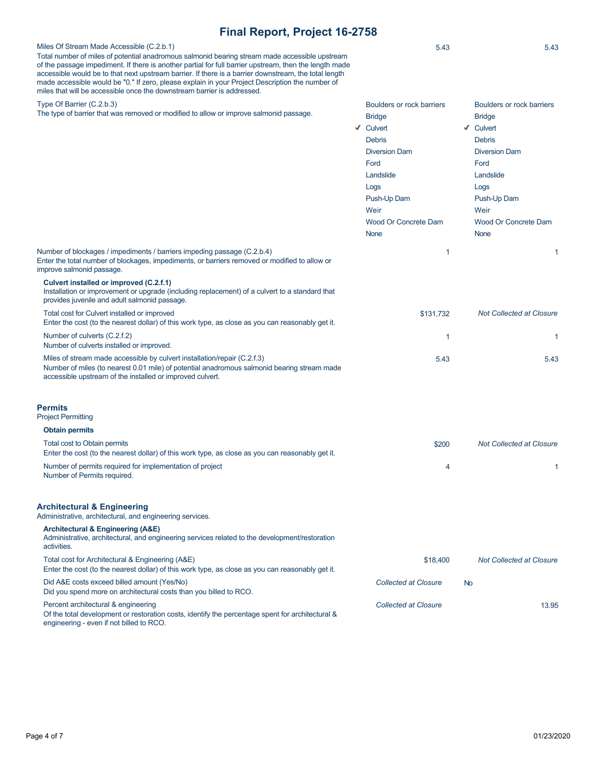Miles Of Stream Made Accessible (C.2.b.1) Total number of miles of potential anadromous salmonid bearing stream made accessible upstream of the passage impediment. If there is another partial for full barrier upstream, then the length made accessible would be to that next upstream barrier. If there is a barrier downstream, the total length made accessible would be "0." If zero, please explain in your Project Description the number of miles that will be accessible once the downstream barrier is addressed. Type Of Barrier (C.2.b.3) The type of barrier that was removed or modified to allow or improve salmonid passage. 5.43 5.43 Boulders or rock barriers

| passaye. |   | <b>Bridge</b>        |   | <b>Bridge</b>        |
|----------|---|----------------------|---|----------------------|
|          | √ | Culvert              | √ | Culvert              |
|          |   | <b>Debris</b>        |   | <b>Debris</b>        |
|          |   | <b>Diversion Dam</b> |   | <b>Diversion Dam</b> |
|          |   | Ford                 |   | Ford                 |
|          |   | Landslide            |   | Landslide            |
|          |   | Logs                 |   | Logs                 |
|          |   | Push-Up Dam          |   | Push-Up Dam          |
|          |   | Weir                 |   | Weir                 |
|          |   | Wood Or Concrete Dam |   | <b>Wood Or Cond</b>  |
|          |   | <b>None</b>          |   | <b>None</b>          |
|          |   |                      |   |                      |

Number of blockages / impediments / barriers impeding passage (C.2.b.4) Enter the total number of blockages, impediments, or barriers removed or modified to allow or improve salmonid passage.

### **Culvert installed or improved (C.2.f.1)**

Installation or improvement or upgrade (including replacement) of a culvert to a standard that provides juvenile and adult salmonid passage.

# Total cost for Culvert installed or improved

Enter the cost (to the nearest dollar) of this work type, as close as you can reasonably get it. Number of culverts (C.2.f.2) Number of culverts installed or improved. Miles of stream made accessible by culvert installation/repair (C.2.f.3) Number of miles (to nearest 0.01 mile) of potential anadromous salmonid bearing stream made accessible upstream of the installed or improved culvert. 1  $\overline{\phantom{a}}$  1 5.43 5.43

#### **Permits**

Project Permitting

| <b>Obtain permits</b>                                                                                                            |       |                                 |
|----------------------------------------------------------------------------------------------------------------------------------|-------|---------------------------------|
| Total cost to Obtain permits<br>Enter the cost (to the nearest dollar) of this work type, as close as you can reasonably get it. | \$200 | <b>Not Collected at Closure</b> |
| Number of permits required for implementation of project<br>Number of Permits required.                                          |       |                                 |

### **Architectural & Engineering**

Administrative, architectural, and engineering services.

### **Architectural & Engineering (A&E)**

Administrative, architectural, and engineering services related to the development/restoration activities. Total cost for Architectural & Engineering (A&E) Enter the cost (to the nearest dollar) of this work type, as close as you can reasonably get it. Did A&E costs exceed billed amount (Yes/No) Did you spend more on architectural costs than you billed to RCO. Percent architectural & engineering \$18,400 *Not Collected at Closure Collected at Closure* No **Collected at Closure** 13.95

Of the total development or restoration costs, identify the percentage spent for architectural & engineering - even if not billed to RCO.

Boulders or rock barriers

**crete Dam** 

1  $\sim$  1

\$131,732 *Not Collected at Closure*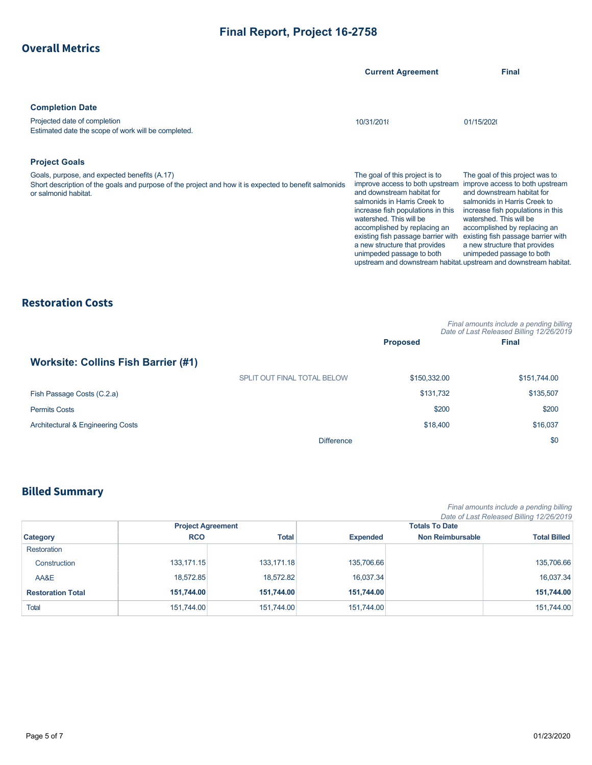| <b>Overall Metrics</b> |  |  |  |
|------------------------|--|--|--|
|                        |  |  |  |

|                                                                                                                                                                                                       | <b>Current Agreement</b>                                                                                                                                                                                                                                                                                                            | <b>Final</b>                                                                                                                                                                                                                                                                                                                                                                                              |
|-------------------------------------------------------------------------------------------------------------------------------------------------------------------------------------------------------|-------------------------------------------------------------------------------------------------------------------------------------------------------------------------------------------------------------------------------------------------------------------------------------------------------------------------------------|-----------------------------------------------------------------------------------------------------------------------------------------------------------------------------------------------------------------------------------------------------------------------------------------------------------------------------------------------------------------------------------------------------------|
| <b>Completion Date</b><br>Projected date of completion<br>Estimated date the scope of work will be completed.                                                                                         | 10/31/2018                                                                                                                                                                                                                                                                                                                          | 01/15/2020                                                                                                                                                                                                                                                                                                                                                                                                |
| <b>Project Goals</b><br>Goals, purpose, and expected benefits (A.17)<br>Short description of the goals and purpose of the project and how it is expected to benefit salmonids<br>or salmonid habitat. | The goal of this project is to<br>improve access to both upstream<br>and downstream habitat for<br>salmonids in Harris Creek to<br>increase fish populations in this<br>watershed. This will be<br>accomplished by replacing an<br>existing fish passage barrier with<br>a new structure that provides<br>unimpeded passage to both | The goal of this project was to<br>improve access to both upstream<br>and downstream habitat for<br>salmonids in Harris Creek to<br>increase fish populations in this<br>watershed. This will be<br>accomplished by replacing an<br>existing fish passage barrier with<br>a new structure that provides<br>unimpeded passage to both<br>upstream and downstream habitat. upstream and downstream habitat. |

# Restoration Costs

|                                            |                             |                 | Final amounts include a pending billing<br>Date of Last Released Billing 12/26/2019 |
|--------------------------------------------|-----------------------------|-----------------|-------------------------------------------------------------------------------------|
|                                            |                             | <b>Proposed</b> | <b>Final</b>                                                                        |
| <b>Worksite: Collins Fish Barrier (#1)</b> |                             |                 |                                                                                     |
|                                            | SPLIT OUT FINAL TOTAL BELOW | \$150,332,00    | \$151,744.00                                                                        |
| Fish Passage Costs (C.2.a)                 |                             | \$131,732       | \$135,507                                                                           |
| <b>Permits Costs</b>                       |                             | \$200           | \$200                                                                               |
| Architectural & Engineering Costs          |                             | \$18,400        | \$16,037                                                                            |
|                                            | <b>Difference</b>           |                 | \$0                                                                                 |

# Billed Summary

*Final amounts include a pending billing Date of Last Released Billing 12/26/2019*

|                          |                          |            |                 |                         | Date of Last Released Billing 12/26/2019 |
|--------------------------|--------------------------|------------|-----------------|-------------------------|------------------------------------------|
|                          | <b>Project Agreement</b> |            |                 | <b>Totals To Date</b>   |                                          |
| Category                 | <b>RCO</b>               | Total      | <b>Expended</b> | <b>Non Reimbursable</b> | <b>Total Billed</b>                      |
| <b>Restoration</b>       |                          |            |                 |                         |                                          |
| Construction             | 133,171.15               | 133,171.18 | 135,706.66      |                         | 135,706.66                               |
| AA&E                     | 18.572.85                | 18.572.82  | 16.037.34       |                         | 16,037.34                                |
| <b>Restoration Total</b> | 151,744.00               | 151.744.00 | 151,744.00      |                         | 151,744.00                               |
| <b>Total</b>             | 151,744.00               | 151,744.00 | 151,744.00      |                         | 151,744.00                               |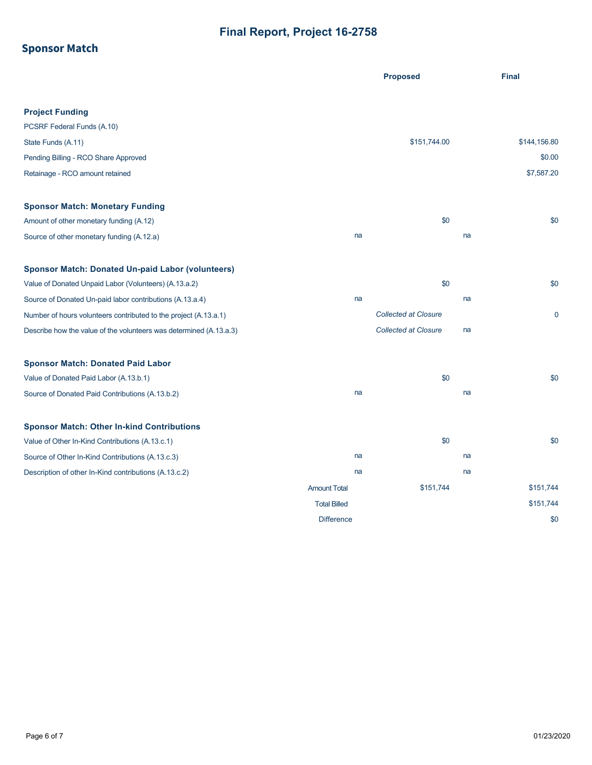# Sponsor Match

|                                                                    |                     | <b>Proposed</b>             | <b>Final</b> |
|--------------------------------------------------------------------|---------------------|-----------------------------|--------------|
|                                                                    |                     |                             |              |
| <b>Project Funding</b>                                             |                     |                             |              |
| PCSRF Federal Funds (A.10)                                         |                     |                             |              |
| State Funds (A.11)                                                 |                     | \$151,744.00                | \$144,156.80 |
| Pending Billing - RCO Share Approved                               |                     |                             | \$0.00       |
| Retainage - RCO amount retained                                    |                     |                             | \$7,587.20   |
| <b>Sponsor Match: Monetary Funding</b>                             |                     |                             |              |
| Amount of other monetary funding (A.12)                            |                     | \$0                         | \$0          |
| Source of other monetary funding (A.12.a)                          | na                  |                             | na           |
| <b>Sponsor Match: Donated Un-paid Labor (volunteers)</b>           |                     |                             |              |
| Value of Donated Unpaid Labor (Volunteers) (A.13.a.2)              |                     | \$0                         | \$0          |
| Source of Donated Un-paid labor contributions (A.13.a.4)           | na                  |                             | na           |
| Number of hours volunteers contributed to the project (A.13.a.1)   |                     | <b>Collected at Closure</b> | $\mathbf 0$  |
| Describe how the value of the volunteers was determined (A.13.a.3) |                     | <b>Collected at Closure</b> | na           |
| <b>Sponsor Match: Donated Paid Labor</b>                           |                     |                             |              |
| Value of Donated Paid Labor (A.13.b.1)                             |                     | \$0                         | \$0          |
| Source of Donated Paid Contributions (A.13.b.2)                    | na                  |                             | na           |
| <b>Sponsor Match: Other In-kind Contributions</b>                  |                     |                             |              |
| Value of Other In-Kind Contributions (A.13.c.1)                    |                     | \$0                         | \$0          |
| Source of Other In-Kind Contributions (A.13.c.3)                   | na                  |                             | na           |
| Description of other In-Kind contributions (A.13.c.2)              | na                  |                             | na           |
|                                                                    | <b>Amount Total</b> | \$151,744                   | \$151,744    |
|                                                                    | <b>Total Billed</b> |                             | \$151,744    |
|                                                                    | <b>Difference</b>   |                             | \$0          |
|                                                                    |                     |                             |              |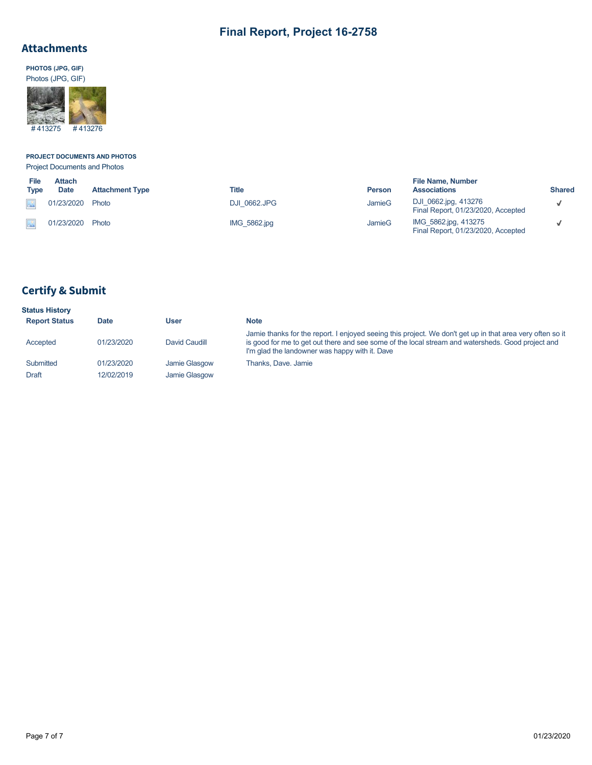## Attachments

**PHOTOS (JPG, GIF)** Photos (JPG, GIF)



# **PROJECT DOCUMENTS AND PHOTOS**

Project Documents and Photos

| File<br>Type | <b>Attach</b><br><b>Date</b> | <b>Attachment Type</b> | Title               | <b>Person</b> | <b>File Name, Number</b><br><b>Associations</b>            | <b>Shared</b> |
|--------------|------------------------------|------------------------|---------------------|---------------|------------------------------------------------------------|---------------|
|              | 01/23/2020                   | Photo                  | <b>DJI 0662.JPG</b> | JamieG        | DJI 0662.jpg, 413276<br>Final Report, 01/23/2020, Accepted |               |
|              | 01/23/2020 Photo             |                        | IMG 5862.jpg        | JamieG        | IMG 5862.jpg, 413275<br>Final Report, 01/23/2020, Accepted |               |

# Certify & Submit

| <b>Status History</b> |             |               |                                                                                                                                                                                                                                                                  |
|-----------------------|-------------|---------------|------------------------------------------------------------------------------------------------------------------------------------------------------------------------------------------------------------------------------------------------------------------|
| <b>Report Status</b>  | <b>Date</b> | User          | <b>Note</b>                                                                                                                                                                                                                                                      |
| Accepted              | 01/23/2020  | David Caudill | Jamie thanks for the report. I enjoyed seeing this project. We don't get up in that area very often so it<br>is good for me to get out there and see some of the local stream and watersheds. Good project and<br>I'm glad the landowner was happy with it. Dave |
| Submitted             | 01/23/2020  | Jamie Glasgow | Thanks, Dave, Jamie                                                                                                                                                                                                                                              |
| Draft                 | 12/02/2019  | Jamie Glasgow |                                                                                                                                                                                                                                                                  |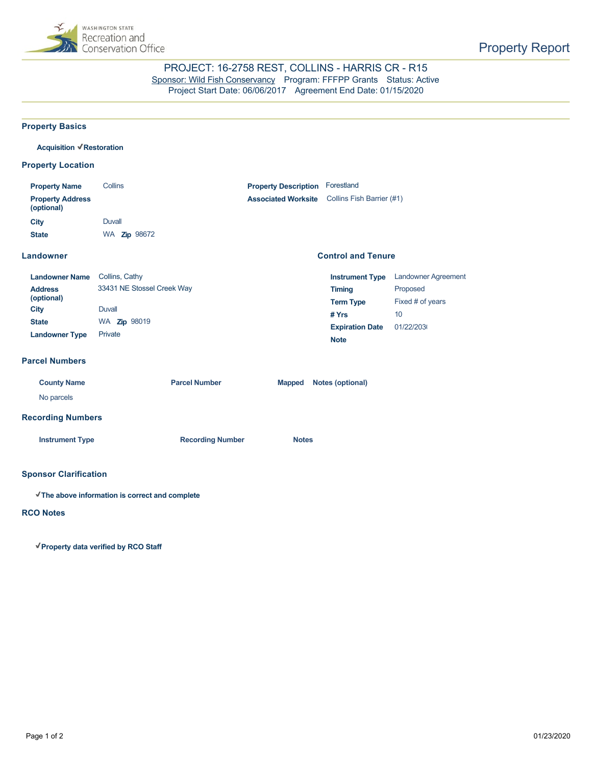

### PROJECT: 16-2758 REST, COLLINS - HARRIS CR - R15 [Sponsor: Wild Fish Conservancy](https://secure.rco.wa.gov/PRISM/Sponsor/My/Organization/Index/2761) Program: FFFPP Grants Status: Active Project Start Date: 06/06/2017 Agreement End Date: 01/15/2020

**Control and Tenure**

### **Property Basics**

#### **Acquisition Restoration**

### **Property Location**

| <b>Property Name</b>                  | <b>Collins</b>      | <b>Property Description</b> | Forestland                |
|---------------------------------------|---------------------|-----------------------------|---------------------------|
| <b>Property Address</b><br>(optional) |                     | <b>Associated Worksite</b>  | Collins Fish Barrier (#1) |
| City                                  | Duvall              |                             |                           |
| <b>State</b>                          | WA <b>Zip</b> 98672 |                             |                           |

### **Landowner**

| <b>Landowner Name</b> | Collins, Cathy             | <b>Instrument Type</b> | Landowner Agreement |
|-----------------------|----------------------------|------------------------|---------------------|
| <b>Address</b>        | 33431 NE Stossel Creek Way | Timing                 | Proposed            |
| (optional)            |                            | <b>Term Type</b>       | Fixed # of years    |
| City                  | Duvall                     | # Yrs                  | 10                  |
| <b>State</b>          | WA <b>Zip</b> 98019        | <b>Expiration Date</b> | 01/22/2030          |
| <b>Landowner Type</b> | Private                    | <b>Note</b>            |                     |

### **Parcel Numbers**

| <b>County Name</b><br>No parcels | <b>Parcel Number</b>    | Notes (optional)<br><b>Mapped</b> |
|----------------------------------|-------------------------|-----------------------------------|
| <b>Recording Numbers</b>         |                         |                                   |
| <b>Instrument Type</b>           | <b>Recording Number</b> | <b>Notes</b>                      |
|                                  |                         |                                   |

### **Sponsor Clarification**

**The above information is correct and complete**

### **RCO Notes**

**Property data verified by RCO Staff**